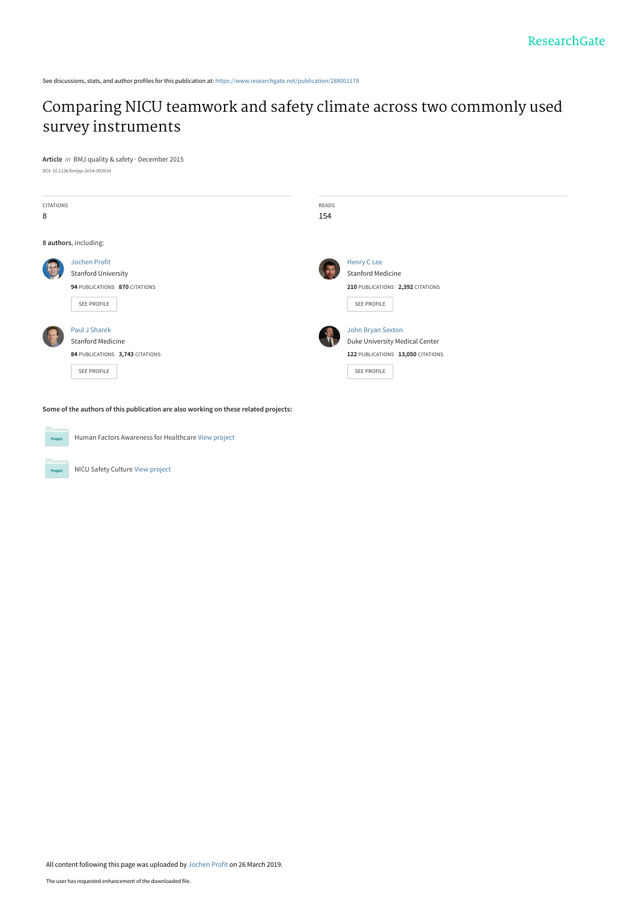See discussions, stats, and author profiles for this publication at: [https://www.researchgate.net/publication/288001178](https://www.researchgate.net/publication/288001178_Comparing_NICU_teamwork_and_safety_climate_across_two_commonly_used_survey_instruments?enrichId=rgreq-c551bd9eed8be0aee30bd68380b1a862-XXX&enrichSource=Y292ZXJQYWdlOzI4ODAwMTE3ODtBUzo3NDA3NTM2MjYxMDc5MDRAMTU1MzYyMDgzNTc3MQ%3D%3D&el=1_x_2&_esc=publicationCoverPdf)

# [Comparing NICU teamwork and safety climate across two commonly used](https://www.researchgate.net/publication/288001178_Comparing_NICU_teamwork_and_safety_climate_across_two_commonly_used_survey_instruments?enrichId=rgreq-c551bd9eed8be0aee30bd68380b1a862-XXX&enrichSource=Y292ZXJQYWdlOzI4ODAwMTE3ODtBUzo3NDA3NTM2MjYxMDc5MDRAMTU1MzYyMDgzNTc3MQ%3D%3D&el=1_x_3&_esc=publicationCoverPdf) survey instruments

**Article** in BMJ quality & safety · December 2015 DOI: 10.1136/bmjqs-2014-003924

| <b>CITATIONS</b><br>8 |                                                                                                    | <b>READS</b><br>154 |                                                                                                         |
|-----------------------|----------------------------------------------------------------------------------------------------|---------------------|---------------------------------------------------------------------------------------------------------|
|                       | 8 authors, including:                                                                              |                     |                                                                                                         |
|                       | Jochen Profit<br><b>Stanford University</b><br>94 PUBLICATIONS 870 CITATIONS<br><b>SEE PROFILE</b> |                     | Henry C Lee<br><b>Stanford Medicine</b><br>210 PUBLICATIONS 2,392 CITATIONS<br><b>SEE PROFILE</b>       |
|                       | Paul J Sharek<br><b>Stanford Medicine</b><br>84 PUBLICATIONS 3,743 CITATIONS<br><b>SEE PROFILE</b> |                     | John Bryan Sexton<br>Duke University Medical Center<br>122 PUBLICATIONS 13,050 CITATIONS<br>SEE PROFILE |

**Some of the authors of this publication are also working on these related projects:**

**Project** Human Factors Awareness for Healthcare [View project](https://www.researchgate.net/project/Human-Factors-Awareness-for-Healthcare?enrichId=rgreq-c551bd9eed8be0aee30bd68380b1a862-XXX&enrichSource=Y292ZXJQYWdlOzI4ODAwMTE3ODtBUzo3NDA3NTM2MjYxMDc5MDRAMTU1MzYyMDgzNTc3MQ%3D%3D&el=1_x_9&_esc=publicationCoverPdf) NICU Safety Culture [View project](https://www.researchgate.net/project/NICU-Safety-Culture?enrichId=rgreq-c551bd9eed8be0aee30bd68380b1a862-XXX&enrichSource=Y292ZXJQYWdlOzI4ODAwMTE3ODtBUzo3NDA3NTM2MjYxMDc5MDRAMTU1MzYyMDgzNTc3MQ%3D%3D&el=1_x_9&_esc=publicationCoverPdf) **Project** 

All content following this page was uploaded by [Jochen Profit](https://www.researchgate.net/profile/Jochen_Profit?enrichId=rgreq-c551bd9eed8be0aee30bd68380b1a862-XXX&enrichSource=Y292ZXJQYWdlOzI4ODAwMTE3ODtBUzo3NDA3NTM2MjYxMDc5MDRAMTU1MzYyMDgzNTc3MQ%3D%3D&el=1_x_10&_esc=publicationCoverPdf) on 26 March 2019.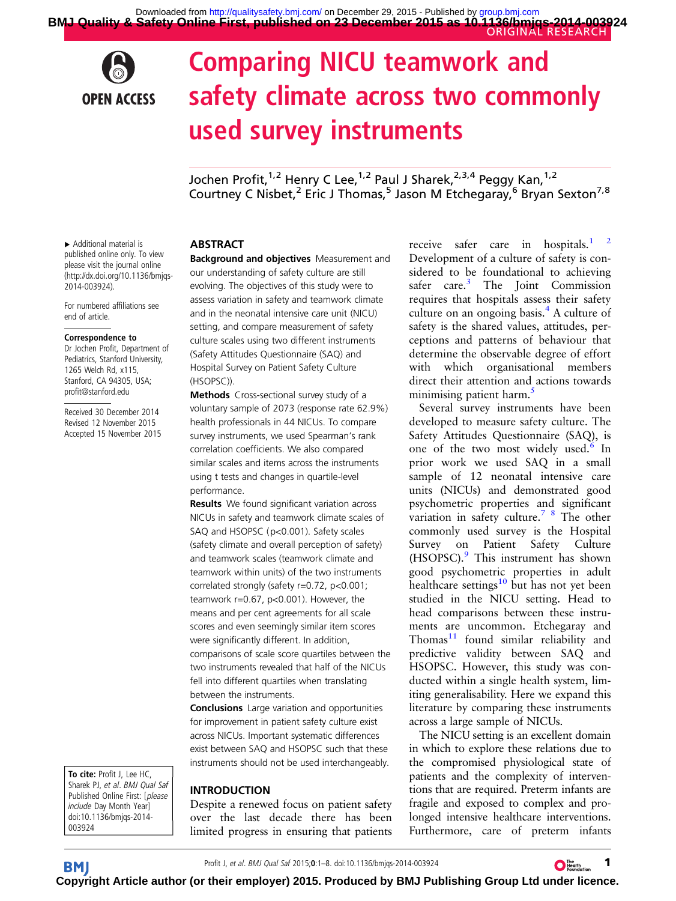**BMJ Quality & Safety Online First, published on 23 December 2015 as 10.1136/bmjqs-2014-003924** Downloaded from<http://qualitysafety.bmj.com/>on December 29, 2015 - Published by [group.bmj.com](http://group.bmj.com)



# Comparing NICU teamwork and safety climate across two commonly used survey instruments

Jochen Profit, 1, Henry C Lee, 1, Paul J Sharek, <sup>29</sup>, Peggy Kan, 1,<br>Courtney C Nishet <sup>2</sup> Fric I Thomas <sup>5</sup> Jason M Etchegaray <sup>6</sup> Bryan Courtney C Nisbet, Eric J Thomas, Jason M Etchegaray," Bryan Sexton

▸ Additional material is published online only. To view please visit the journal online ([http://dx.doi.org/10.1136/bmjqs-](http://dx.doi.org/10.1136/bmjqs-2014-003924)[2014-003924](http://dx.doi.org/10.1136/bmjqs-2014-003924)).

For numbered affiliations see end of article.

#### Correspondence to

Dr Jochen Profit, Department of Pediatrics, Stanford University, 1265 Welch Rd, x115, Stanford, CA 94305, USA; profit@stanford.edu

Received 30 December 2014 Revised 12 November 2015 Accepted 15 November 2015

To cite: Profit J, Lee HC, Sharek PJ, et al. BMJ Qual Saf Published Online First: [please include Day Month Year] doi:10.1136/bmjqs-2014- 003924

**BM** 

#### ABSTRACT

Background and objectives Measurement and our understanding of safety culture are still evolving. The objectives of this study were to assess variation in safety and teamwork climate and in the neonatal intensive care unit (NICU) setting, and compare measurement of safety culture scales using two different instruments (Safety Attitudes Questionnaire (SAQ) and Hospital Survey on Patient Safety Culture (HSOPSC)).

Methods Cross-sectional survey study of a voluntary sample of 2073 (response rate 62.9%) health professionals in 44 NICUs. To compare survey instruments, we used Spearman's rank correlation coefficients. We also compared similar scales and items across the instruments using t tests and changes in quartile-level performance.

Results We found significant variation across NICUs in safety and teamwork climate scales of SAQ and HSOPSC (p<0.001). Safety scales (safety climate and overall perception of safety) and teamwork scales (teamwork climate and teamwork within units) of the two instruments correlated strongly (safety r=0.72, p<0.001; teamwork r=0.67, p<0.001). However, the means and per cent agreements for all scale scores and even seemingly similar item scores were significantly different. In addition, comparisons of scale score quartiles between the two instruments revealed that half of the NICUs fell into different quartiles when translating between the instruments.

**Conclusions** Large variation and opportunities for improvement in patient safety culture exist across NICUs. Important systematic differences exist between SAQ and HSOPSC such that these instruments should not be used interchangeably.

#### INTRODUCTION

Despite a renewed focus on patient safety over the last decade there has been limited progress in ensuring that patients receive safer care in hospitals. $1^2$ Development of a culture of safety is considered to be foundational to achieving safer care.<sup>[3](#page-8-0)</sup> The Joint Commission requires that hospitals assess their safety culture on an ongoing basis. $4$  A culture of safety is the shared values, attitudes, perceptions and patterns of behaviour that determine the observable degree of effort with which organisational members direct their attention and actions towards minimising patient harm. $\frac{5}{5}$  $\frac{5}{5}$  $\frac{5}{5}$ 

ORIGINAL RESEARCH

Several survey instruments have been developed to measure safety culture. The Safety Attitudes Questionnaire (SAQ), is one of the two most widely used.<sup>[6](#page-8-0)</sup> In prior work we used SAQ in a small sample of 12 neonatal intensive care units (NICUs) and demonstrated good psychometric properties and significant variation in safety culture.<sup>7</sup> <sup>8</sup> The other commonly used survey is the Hospital Survey on Patient Safety Culture (HSOPSC).[9](#page-8-0) This instrument has shown good psychometric properties in adult healthcare settings $10$  but has not yet been studied in the NICU setting. Head to head comparisons between these instruments are uncommon. Etchegaray and Thomas $11$  found similar reliability and predictive validity between SAQ and HSOPSC. However, this study was conducted within a single health system, limiting generalisability. Here we expand this literature by comparing these instruments across a large sample of NICUs.

The NICU setting is an excellent domain in which to explore these relations due to the compromised physiological state of patients and the complexity of interventions that are required. Preterm infants are fragile and exposed to complex and prolonged intensive healthcare interventions. Furthermore, care of preterm infants

**C[opyr](http://qualitysafety.bmj.com/)ight Article author (or their employer) 2015. Produced by BMJ Publishing Group Ltd under licence.**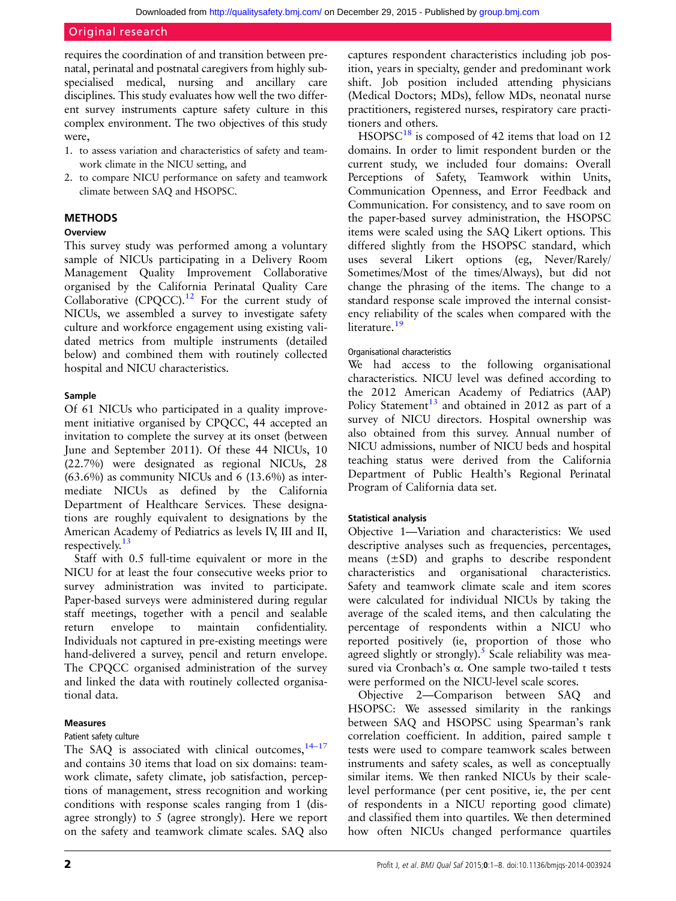### Original research

requires the coordination of and transition between prenatal, perinatal and postnatal caregivers from highly subspecialised medical, nursing and ancillary care disciplines. This study evaluates how well the two different survey instruments capture safety culture in this complex environment. The two objectives of this study were,

- 1. to assess variation and characteristics of safety and teamwork climate in the NICU setting, and
- 2. to compare NICU performance on safety and teamwork climate between SAQ and HSOPSC.

### METHODS

#### **Overview**

This survey study was performed among a voluntary sample of NICUs participating in a Delivery Room Management Quality Improvement Collaborative organised by the California Perinatal Quality Care Collaborative (CPQCC). $12$  For the current study of NICUs, we assembled a survey to investigate safety culture and workforce engagement using existing validated metrics from multiple instruments (detailed below) and combined them with routinely collected hospital and NICU characteristics.

#### Sample

Of 61 NICUs who participated in a quality improvement initiative organised by CPQCC, 44 accepted an invitation to complete the survey at its onset (between June and September 2011). Of these 44 NICUs, 10 (22.7%) were designated as regional NICUs, 28  $(63.6\%)$  as community NICUs and 6  $(13.6\%)$  as intermediate NICUs as defined by the California Department of Healthcare Services. These designations are roughly equivalent to designations by the American Academy of Pediatrics as levels IV, III and II, respectively.<sup>[13](#page-8-0)</sup>

Staff with 0.5 full-time equivalent or more in the NICU for at least the four consecutive weeks prior to survey administration was invited to participate. Paper-based surveys were administered during regular staff meetings, together with a pencil and sealable return envelope to maintain confidentiality. Individuals not captured in pre-existing meetings were hand-delivered a survey, pencil and return envelope. The CPQCC organised administration of the survey and linked the data with routinely collected organisational data.

#### Measures

The SAQ is associated with clinical outcomes,  $14-17$ and contains 30 items that load on six domains: teamwork climate, safety climate, job satisfaction, perceptions of management, stress recognition and working conditions with response scales ranging from 1 (disagree strongly) to 5 (agree strongly). Here we report on the safety and teamwork climate scales. SAQ also

captures respondent characteristics including job position, years in specialty, gender and predominant work shift. Job position included attending physicians (Medical Doctors; MDs), fellow MDs, neonatal nurse practitioners, registered nurses, respiratory care practitioners and others.

 $HSOPSC<sup>18</sup>$  $HSOPSC<sup>18</sup>$  $HSOPSC<sup>18</sup>$  is composed of 42 items that load on 12 domains. In order to limit respondent burden or the current study, we included four domains: Overall Perceptions of Safety, Teamwork within Units, Communication Openness, and Error Feedback and Communication. For consistency, and to save room on the paper-based survey administration, the HSOPSC items were scaled using the SAQ Likert options. This differed slightly from the HSOPSC standard, which uses several Likert options (eg, Never/Rarely/ Sometimes/Most of the times/Always), but did not change the phrasing of the items. The change to a standard response scale improved the internal consistency reliability of the scales when compared with the literature.<sup>[19](#page-8-0)</sup>

We had access to the following organisational characteristics. NICU level was defined according to the 2012 American Academy of Pediatrics (AAP) Policy Statement<sup>[13](#page-8-0)</sup> and obtained in 2012 as part of a survey of NICU directors. Hospital ownership was also obtained from this survey. Annual number of NICU admissions, number of NICU beds and hospital teaching status were derived from the California Department of Public Health's Regional Perinatal Program of California data set.

#### Statistical analysis

Objective 1—Variation and characteristics: We used descriptive analyses such as frequencies, percentages, means  $(\pm SD)$  and graphs to describe respondent characteristics and organisational characteristics. Safety and teamwork climate scale and item scores were calculated for individual NICUs by taking the average of the scaled items, and then calculating the percentage of respondents within a NICU who reported positively (ie, proportion of those who agreed slightly or strongly).<sup>[5](#page-8-0)</sup> Scale reliability was measured via Cronbach's α. One sample two-tailed t tests were performed on the NICU-level scale scores.

Objective 2—Comparison between SAQ and HSOPSC: We assessed similarity in the rankings between SAQ and HSOPSC using Spearman's rank correlation coefficient. In addition, paired sample t tests were used to compare teamwork scales between instruments and safety scales, as well as conceptually similar items. We then ranked NICUs by their scalelevel performance (per cent positive, ie, the per cent of respondents in a NICU reporting good climate) and classified them into quartiles. We then determined how often NICUs changed performance quartiles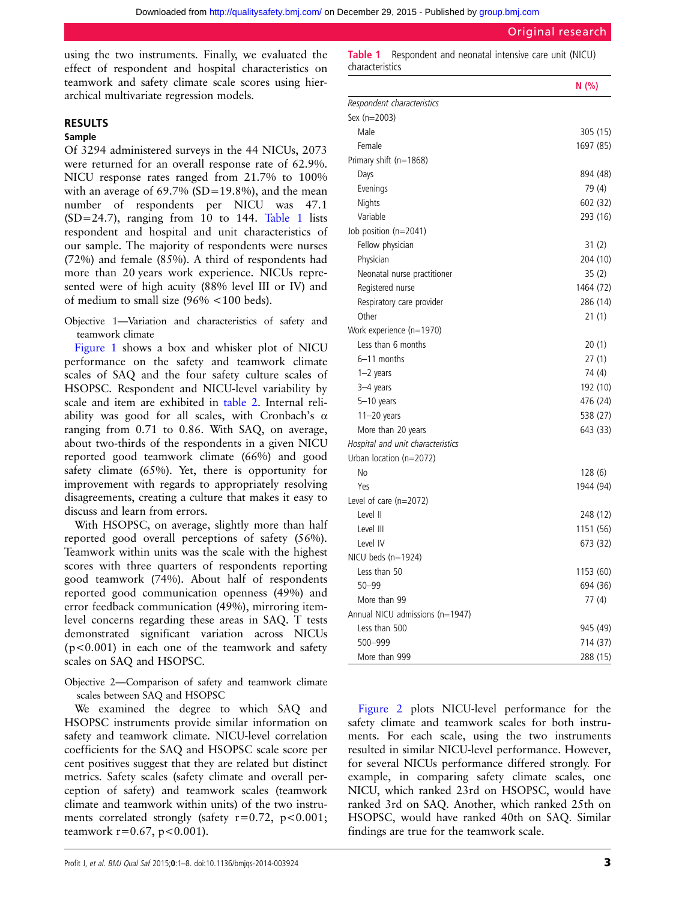using the two instruments. Finally, we evaluated the effect of respondent and hospital characteristics on teamwork and safety climate scale scores using hierarchical multivariate regression models.

#### RESULTS

#### Sample

Of 3294 administered surveys in the 44 NICUs, 2073 were returned for an overall response rate of 62.9%. NICU response rates ranged from 21.7% to 100% with an average of  $69.7\%$  (SD=19.8%), and the mean number of respondents per NICU was 47.1  $(SD=24.7)$ , ranging from 10 to 144. Table 1 lists respondent and hospital and unit characteristics of our sample. The majority of respondents were nurses (72%) and female (85%). A third of respondents had more than 20 years work experience. NICUs represented were of high acuity (88% level III or IV) and of medium to small size (96% <100 beds).

Objective 1—Variation and characteristics of safety and teamwork climate

[Figure 1](#page-4-0) shows a box and whisker plot of NICU performance on the safety and teamwork climate scales of SAQ and the four safety culture scales of HSOPSC. Respondent and NICU-level variability by scale and item are exhibited in [table 2](#page-5-0). Internal reliability was good for all scales, with Cronbach's  $\alpha$ ranging from 0.71 to 0.86. With SAQ, on average, about two-thirds of the respondents in a given NICU reported good teamwork climate (66%) and good safety climate (65%). Yet, there is opportunity for improvement with regards to appropriately resolving disagreements, creating a culture that makes it easy to discuss and learn from errors.

With HSOPSC, on average, slightly more than half reported good overall perceptions of safety (56%). Teamwork within units was the scale with the highest scores with three quarters of respondents reporting good teamwork (74%). About half of respondents reported good communication openness (49%) and error feedback communication (49%), mirroring itemlevel concerns regarding these areas in SAQ. T tests demonstrated significant variation across NICUs  $(p<0.001)$  in each one of the teamwork and safety scales on SAQ and HSOPSC.

Objective 2—Comparison of safety and teamwork climate scales between SAQ and HSOPSC

We examined the degree to which SAQ and HSOPSC instruments provide similar information on safety and teamwork climate. NICU-level correlation coefficients for the SAQ and HSOPSC scale score per cent positives suggest that they are related but distinct metrics. Safety scales (safety climate and overall perception of safety) and teamwork scales (teamwork climate and teamwork within units) of the two instruments correlated strongly (safety  $r=0.72$ ,  $p<0.001$ ; teamwork  $r=0.67$ ,  $p<0.001$ ).

Table 1 Respondent and neonatal intensive care unit (NICU) characteristics

|                                   | N(%)      |
|-----------------------------------|-----------|
| Respondent characteristics        |           |
| Sex (n=2003)                      |           |
| Male                              | 305 (15)  |
| Female                            | 1697 (85) |
| Primary shift (n=1868)            |           |
| Days                              | 894 (48)  |
| Evenings                          | 79 (4)    |
| Nights                            | 602 (32)  |
| Variable                          | 293 (16)  |
| Job position (n=2041)             |           |
| Fellow physician                  | 31(2)     |
| Physician                         | 204 (10)  |
| Neonatal nurse practitioner       | 35(2)     |
| Registered nurse                  | 1464 (72) |
| Respiratory care provider         | 286 (14)  |
| Other                             | 21 (1)    |
| Work experience (n=1970)          |           |
| Less than 6 months                | 20 (1)    |
| 6-11 months                       | 27 (1)    |
| $1-2$ years                       | 74 (4)    |
| 3-4 years                         | 192 (10)  |
| 5-10 years                        | 476 (24)  |
| $11 - 20$ years                   | 538 (27)  |
| More than 20 years                | 643 (33)  |
| Hospital and unit characteristics |           |
| Urban location (n=2072)           |           |
| No                                | 128(6)    |
| Yes                               | 1944 (94) |
| Level of care (n=2072)            |           |
| Level II                          | 248 (12)  |
| Level III                         | 1151 (56) |
| Level IV                          | 673 (32)  |
| NICU beds (n=1924)                |           |
| Less than 50                      | 1153 (60) |
| $50 - 99$                         | 694 (36)  |
| More than 99                      | 77 (4)    |
| Annual NICU admissions (n=1947)   |           |
| Less than 500                     | 945 (49)  |
| 500-999                           | 714 (37)  |
| More than 999                     | 288 (15)  |

[Figure 2](#page-6-0) plots NICU-level performance for the safety climate and teamwork scales for both instruments. For each scale, using the two instruments resulted in similar NICU-level performance. However, for several NICUs performance differed strongly. For example, in comparing safety climate scales, one NICU, which ranked 23rd on HSOPSC, would have ranked 3rd on SAQ. Another, which ranked 25th on HSOPSC, would have ranked 40th on SAQ. Similar findings are true for the teamwork scale.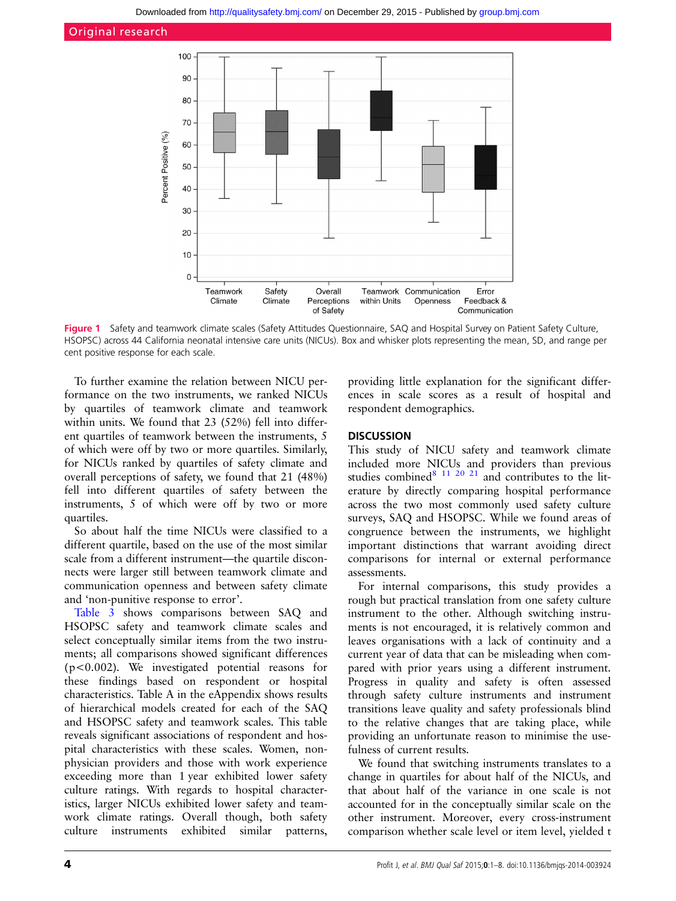<span id="page-4-0"></span>

Figure 1 Safety and teamwork climate scales (Safety Attitudes Questionnaire, SAQ and Hospital Survey on Patient Safety Culture, HSOPSC) across 44 California neonatal intensive care units (NICUs). Box and whisker plots representing the mean, SD, and range per cent positive response for each scale.

To further examine the relation between NICU performance on the two instruments, we ranked NICUs by quartiles of teamwork climate and teamwork within units. We found that 23 (52%) fell into different quartiles of teamwork between the instruments, 5 of which were off by two or more quartiles. Similarly, for NICUs ranked by quartiles of safety climate and overall perceptions of safety, we found that 21 (48%) fell into different quartiles of safety between the instruments, 5 of which were off by two or more quartiles.

So about half the time NICUs were classified to a different quartile, based on the use of the most similar scale from a different instrument—the quartile disconnects were larger still between teamwork climate and communication openness and between safety climate and 'non-punitive response to error'.

[Table 3](#page-7-0) shows comparisons between SAQ and HSOPSC safety and teamwork climate scales and select conceptually similar items from the two instruments; all comparisons showed significant differences (p<0.002). We investigated potential reasons for these findings based on respondent or hospital characteristics. Table A in the eAppendix shows results of hierarchical models created for each of the SAQ and HSOPSC safety and teamwork scales. This table reveals significant associations of respondent and hospital characteristics with these scales. Women, nonphysician providers and those with work experience exceeding more than 1 year exhibited lower safety culture ratings. With regards to hospital characteristics, larger NICUs exhibited lower safety and teamwork climate ratings. Overall though, both safety culture instruments exhibited similar patterns,

providing little explanation for the significant differences in scale scores as a result of hospital and respondent demographics.

#### **DISCUSSION**

This study of NICU safety and teamwork climate included more NICUs and providers than previous studies combined<sup>[8 11 20 21](#page-8-0)</sup> and contributes to the literature by directly comparing hospital performance across the two most commonly used safety culture surveys, SAQ and HSOPSC. While we found areas of congruence between the instruments, we highlight important distinctions that warrant avoiding direct comparisons for internal or external performance assessments.

For internal comparisons, this study provides a rough but practical translation from one safety culture instrument to the other. Although switching instruments is not encouraged, it is relatively common and leaves organisations with a lack of continuity and a current year of data that can be misleading when compared with prior years using a different instrument. Progress in quality and safety is often assessed through safety culture instruments and instrument transitions leave quality and safety professionals blind to the relative changes that are taking place, while providing an unfortunate reason to minimise the usefulness of current results.

We found that switching instruments translates to a change in quartiles for about half of the NICUs, and that about half of the variance in one scale is not accounted for in the conceptually similar scale on the other instrument. Moreover, every cross-instrument comparison whether scale level or item level, yielded t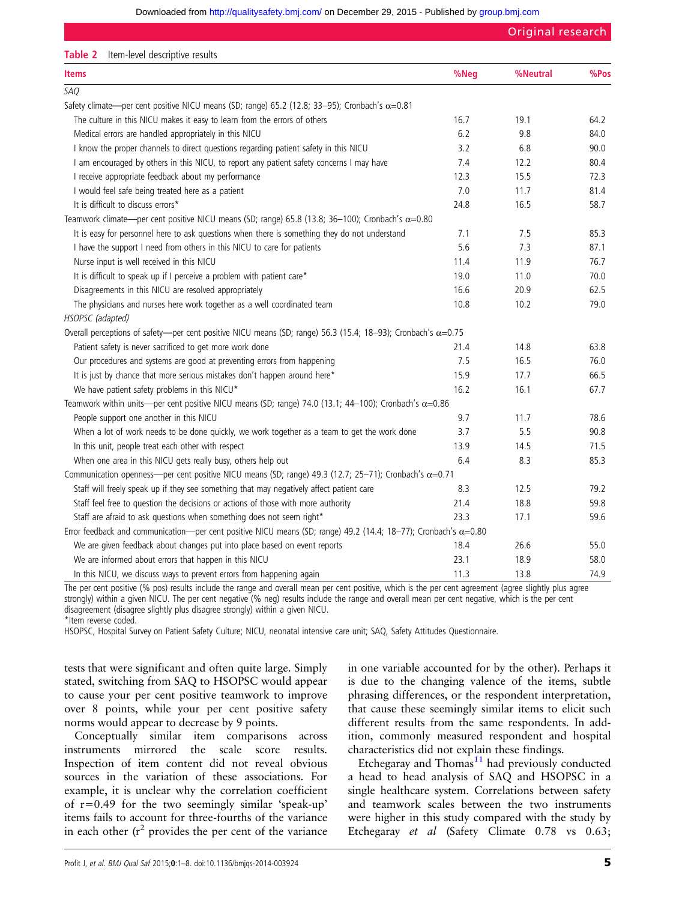<span id="page-5-0"></span>

|                                                                                                                         |      | Original research |      |
|-------------------------------------------------------------------------------------------------------------------------|------|-------------------|------|
| Item-level descriptive results<br>Table 2                                                                               |      |                   |      |
| <b>Items</b>                                                                                                            | %Neg | %Neutral          | %Pos |
| SAQ                                                                                                                     |      |                   |      |
| Safety climate—per cent positive NICU means (SD; range) 65.2 (12.8; 33-95); Cronbach's $\alpha$ =0.81                   |      |                   |      |
| The culture in this NICU makes it easy to learn from the errors of others                                               | 16.7 | 19.1              | 64.2 |
| Medical errors are handled appropriately in this NICU                                                                   | 6.2  | 9.8               | 84.0 |
| I know the proper channels to direct questions regarding patient safety in this NICU                                    | 3.2  | 6.8               | 90.0 |
| I am encouraged by others in this NICU, to report any patient safety concerns I may have                                | 7.4  | 12.2              | 80.4 |
| I receive appropriate feedback about my performance                                                                     | 12.3 | 15.5              | 72.3 |
| I would feel safe being treated here as a patient                                                                       | 7.0  | 11.7              | 81.4 |
| It is difficult to discuss errors*                                                                                      | 24.8 | 16.5              | 58.7 |
| Teamwork climate—per cent positive NICU means (SD; range) 65.8 (13.8; 36-100); Cronbach's $\alpha$ =0.80                |      |                   |      |
| It is easy for personnel here to ask questions when there is something they do not understand                           | 7.1  | 7.5               | 85.3 |
| I have the support I need from others in this NICU to care for patients                                                 | 5.6  | 7.3               | 87.1 |
| Nurse input is well received in this NICU                                                                               | 11.4 | 11.9              | 76.7 |
| It is difficult to speak up if I perceive a problem with patient care*                                                  | 19.0 | 11.0              | 70.0 |
| Disagreements in this NICU are resolved appropriately                                                                   | 16.6 | 20.9              | 62.5 |
| The physicians and nurses here work together as a well coordinated team                                                 | 10.8 | 10.2              | 79.0 |
| HSOPSC (adapted)                                                                                                        |      |                   |      |
| Overall perceptions of safety-per cent positive NICU means (SD; range) 56.3 (15.4; 18-93); Cronbach's $\alpha$ =0.75    |      |                   |      |
| Patient safety is never sacrificed to get more work done                                                                | 21.4 | 14.8              | 63.8 |
| Our procedures and systems are good at preventing errors from happening                                                 | 7.5  | 16.5              | 76.0 |
| It is just by chance that more serious mistakes don't happen around here*                                               | 15.9 | 17.7              | 66.5 |
| We have patient safety problems in this NICU*                                                                           | 16.2 | 16.1              | 67.7 |
| Teamwork within units—per cent positive NICU means (SD; range) 74.0 (13.1; 44-100); Cronbach's $\alpha$ =0.86           |      |                   |      |
| People support one another in this NICU                                                                                 | 9.7  | 11.7              | 78.6 |
| When a lot of work needs to be done quickly, we work together as a team to get the work done                            | 3.7  | 5.5               | 90.8 |
| In this unit, people treat each other with respect                                                                      | 13.9 | 14.5              | 71.5 |
| When one area in this NICU gets really busy, others help out                                                            | 6.4  | 8.3               | 85.3 |
| Communication openness-per cent positive NICU means (SD; range) 49.3 (12.7; 25-71); Cronbach's α=0.71                   |      |                   |      |
| Staff will freely speak up if they see something that may negatively affect patient care                                | 8.3  | 12.5              | 79.2 |
| Staff feel free to question the decisions or actions of those with more authority                                       | 21.4 | 18.8              | 59.8 |
| Staff are afraid to ask questions when something does not seem right*                                                   | 23.3 | 17.1              | 59.6 |
| Error feedback and communication—per cent positive NICU means (SD; range) 49.2 (14.4; 18-77); Cronbach's $\alpha$ =0.80 |      |                   |      |
| We are given feedback about changes put into place based on event reports                                               | 18.4 | 26.6              | 55.0 |
| We are informed about errors that happen in this NICU                                                                   | 23.1 | 18.9              | 58.0 |
| In this NICU, we discuss ways to prevent errors from happening again                                                    | 11.3 | 13.8              | 74.9 |

The per cent positive (% pos) results include the range and overall mean per cent positive, which is the per cent agreement (agree slightly plus agree strongly) within a given NICU. The per cent negative (% neg) results include the range and overall mean per cent negative, which is the per cent disagreement (disagree slightly plus disagree strongly) within a given NICU. \*Item reverse coded.

HSOPSC, Hospital Survey on Patient Safety Culture; NICU, neonatal intensive care unit; SAQ, Safety Attitudes Questionnaire.

tests that were significant and often quite large. Simply stated, switching from SAQ to HSOPSC would appear to cause your per cent positive teamwork to improve over 8 points, while your per cent positive safety norms would appear to decrease by 9 points.

Conceptually similar item comparisons across instruments mirrored the scale score results. Inspection of item content did not reveal obvious sources in the variation of these associations. For example, it is unclear why the correlation coefficient of  $r=0.49$  for the two seemingly similar 'speak-up' items fails to account for three-fourths of the variance in each other  $(r^2$  provides the per cent of the variance

in one variable accounted for by the other). Perhaps it is due to the changing valence of the items, subtle phrasing differences, or the respondent interpretation, that cause these seemingly similar items to elicit such different results from the same respondents. In addition, commonly measured respondent and hospital characteristics did not explain these findings.

Etchegaray and Thomas<sup>[11](#page-8-0)</sup> had previously conducted a head to head analysis of SAQ and HSOPSC in a single healthcare system. Correlations between safety and teamwork scales between the two instruments were higher in this study compared with the study by Etchegaray et al (Safety Climate 0.78 vs 0.63;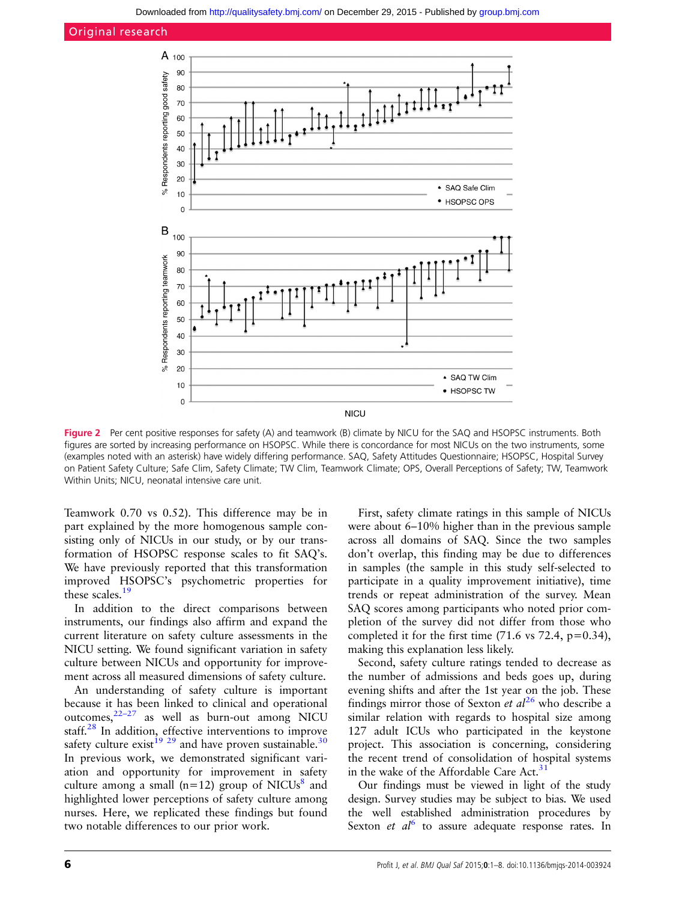<span id="page-6-0"></span>

Figure 2 Per cent positive responses for safety (A) and teamwork (B) climate by NICU for the SAQ and HSOPSC instruments. Both figures are sorted by increasing performance on HSOPSC. While there is concordance for most NICUs on the two instruments, some (examples noted with an asterisk) have widely differing performance. SAQ, Safety Attitudes Questionnaire; HSOPSC, Hospital Survey on Patient Safety Culture; Safe Clim, Safety Climate; TW Clim, Teamwork Climate; OPS, Overall Perceptions of Safety; TW, Teamwork Within Units; NICU, neonatal intensive care unit.

Teamwork 0.70 vs 0.52). This difference may be in part explained by the more homogenous sample consisting only of NICUs in our study, or by our transformation of HSOPSC response scales to fit SAQ's. We have previously reported that this transformation improved HSOPSC's psychometric properties for these scales.<sup>[19](#page-8-0)</sup>

In addition to the direct comparisons between instruments, our findings also affirm and expand the current literature on safety culture assessments in the NICU setting. We found significant variation in safety culture between NICUs and opportunity for improvement across all measured dimensions of safety culture.

An understanding of safety culture is important because it has been linked to clinical and operational outcomes,[22](#page-8-0)–<sup>27</sup> as well as burn-out among NICU staff.<sup>[28](#page-8-0)</sup> In addition, effective interventions to improve safety culture exist<sup>19</sup> <sup>29</sup> and have proven sustainable.<sup>[30](#page-8-0)</sup> In previous work, we demonstrated significant variation and opportunity for improvement in safety culture among a small ( $n=12$ ) group of NICUs<sup>[8](#page-8-0)</sup> and highlighted lower perceptions of safety culture among nurses. Here, we replicated these findings but found two notable differences to our prior work.

First, safety climate ratings in this sample of NICUs were about 6–10% higher than in the previous sample across all domains of SAQ. Since the two samples don't overlap, this finding may be due to differences in samples (the sample in this study self-selected to participate in a quality improvement initiative), time trends or repeat administration of the survey. Mean SAQ scores among participants who noted prior completion of the survey did not differ from those who completed it for the first time  $(71.6 \text{ vs } 72.4, \text{ p} = 0.34)$ , making this explanation less likely.

Second, safety culture ratings tended to decrease as the number of admissions and beds goes up, during evening shifts and after the 1st year on the job. These findings mirror those of Sexton et  $al^{26}$  $al^{26}$  $al^{26}$  who describe a similar relation with regards to hospital size among 127 adult ICUs who participated in the keystone project. This association is concerning, considering the recent trend of consolidation of hospital systems in the wake of the Affordable Care Act.<sup>[31](#page-8-0)</sup>

Our findings must be viewed in light of the study design. Survey studies may be subject to bias. We used the well established administration procedures by Sexton *et al*<sup>[6](#page-8-0)</sup> to assure adequate response rates. In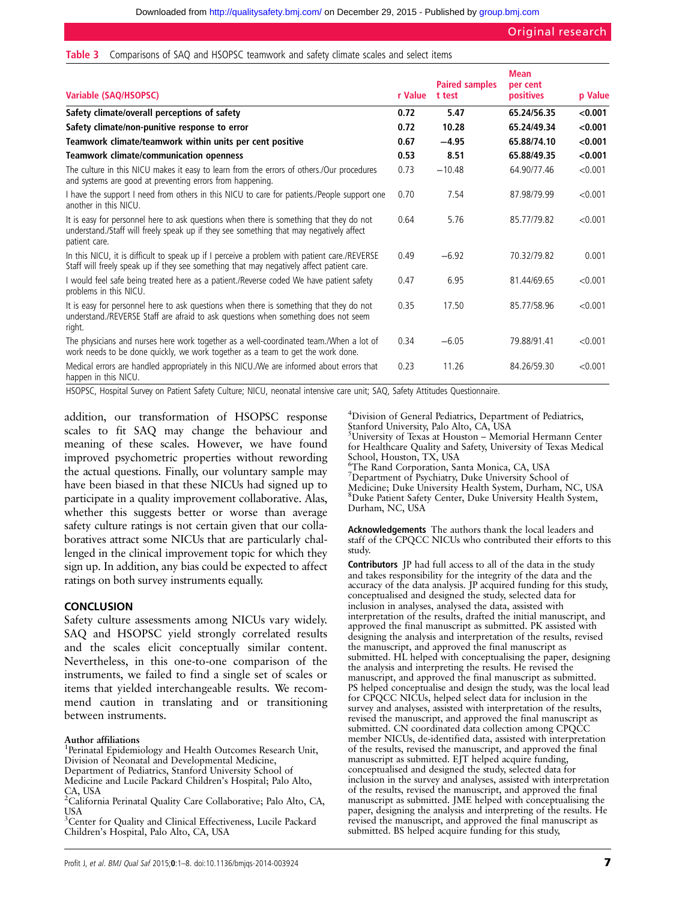#### Original research

#### <span id="page-7-0"></span>Table 3 Comparisons of SAQ and HSOPSC teamwork and safety climate scales and select items

| Variable (SAQ/HSOPSC)                                                                                                                                                                               | r Value | <b>Paired samples</b><br>t test | <b>Mean</b><br>per cent<br>positives | p Value |
|-----------------------------------------------------------------------------------------------------------------------------------------------------------------------------------------------------|---------|---------------------------------|--------------------------------------|---------|
| Safety climate/overall perceptions of safety                                                                                                                                                        | 0.72    | 5.47                            | 65.24/56.35                          | < 0.001 |
| Safety climate/non-punitive response to error                                                                                                                                                       | 0.72    | 10.28                           | 65.24/49.34                          | < 0.001 |
| Teamwork climate/teamwork within units per cent positive                                                                                                                                            | 0.67    | $-4.95$                         | 65.88/74.10                          | < 0.001 |
| <b>Teamwork climate/communication openness</b>                                                                                                                                                      | 0.53    | 8.51                            | 65.88/49.35                          | < 0.001 |
| The culture in this NICU makes it easy to learn from the errors of others./Our procedures<br>and systems are good at preventing errors from happening.                                              | 0.73    | $-10.48$                        | 64.90/77.46                          | < 0.001 |
| I have the support I need from others in this NICU to care for patients./People support one<br>another in this NICU.                                                                                | 0.70    | 7.54                            | 87.98/79.99                          | < 0.001 |
| It is easy for personnel here to ask questions when there is something that they do not<br>understand./Staff will freely speak up if they see something that may negatively affect<br>patient care. | 0.64    | 5.76                            | 85.77/79.82                          | < 0.001 |
| In this NICU, it is difficult to speak up if I perceive a problem with patient care./REVERSE<br>Staff will freely speak up if they see something that may negatively affect patient care.           | 0.49    | $-6.92$                         | 70.32/79.82                          | 0.001   |
| I would feel safe being treated here as a patient./Reverse coded We have patient safety<br>problems in this NICU.                                                                                   | 0.47    | 6.95                            | 81.44/69.65                          | < 0.001 |
| It is easy for personnel here to ask questions when there is something that they do not<br>understand./REVERSE Staff are afraid to ask questions when something does not seem<br>right.             | 0.35    | 17.50                           | 85.77/58.96                          | < 0.001 |
| The physicians and nurses here work together as a well-coordinated team./When a lot of<br>work needs to be done quickly, we work together as a team to get the work done.                           | 0.34    | $-6.05$                         | 79.88/91.41                          | < 0.001 |
| Medical errors are handled appropriately in this NICU./We are informed about errors that<br>happen in this NICU.                                                                                    | 0.23    | 11.26                           | 84.26/59.30                          | < 0.001 |

HSOPSC, Hospital Survey on Patient Safety Culture; NICU, neonatal intensive care unit; SAQ, Safety Attitudes Questionnaire.

addition, our transformation of HSOPSC response scales to fit SAQ may change the behaviour and meaning of these scales. However, we have found improved psychometric properties without rewording the actual questions. Finally, our voluntary sample may have been biased in that these NICUs had signed up to participate in a quality improvement collaborative. Alas, whether this suggests better or worse than average safety culture ratings is not certain given that our collaboratives attract some NICUs that are particularly challenged in the clinical improvement topic for which they sign up. In addition, any bias could be expected to affect ratings on both survey instruments equally.

#### **CONCLUSION**

Safety culture assessments among NICUs vary widely. SAQ and HSOPSC yield strongly correlated results and the scales elicit conceptually similar content. Nevertheless, in this one-to-one comparison of the instruments, we failed to find a single set of scales or items that yielded interchangeable results. We recommend caution in translating and or transitioning between instruments.

#### Author affiliations

<sup>1</sup>Perinatal Epidemiology and Health Outcomes Research Unit, Division of Neonatal and Developmental Medicine, Department of Pediatrics, Stanford University School of

Medicine and Lucile Packard Children's Hospital; Palo Alto, CA, USA

<sup>3</sup>Center for Quality and Clinical Effectiveness, Lucile Packard Children's Hospital, Palo Alto, CA, USA

Profit J, et al. BMJ Qual Saf 2015;0:1–8. doi:10.1136/bmjqs-2014-003924

4 Division of General Pediatrics, Department of Pediatrics,

Stanford University, Palo Alto, CA, USA<br><sup>5</sup>University of Texas at Houston – Memorial Hermann Center for Healthcare Quality and Safety, University of Texas Medical School, Houston, TX, USA

<sup>6</sup>The Rand Corporation, Santa Monica, CA, USA

7 Department of Psychiatry, Duke University School of Medicine; Duke University Health System, Durham, NC, USA 8 Duke Patient Safety Center, Duke University Health System, Durham, NC, USA

Acknowledgements The authors thank the local leaders and staff of the CPQCC NICUs who contributed their efforts to this study.

**Contributors** IP had full access to all of the data in the study and takes responsibility for the integrity of the data and the accuracy of the data analysis. JP acquired funding for this study, conceptualised and designed the study, selected data for inclusion in analyses, analysed the data, assisted with interpretation of the results, drafted the initial manuscript, and approved the final manuscript as submitted. PK assisted with designing the analysis and interpretation of the results, revised the manuscript, and approved the final manuscript as submitted. HL helped with conceptualising the paper, designing the analysis and interpreting the results. He revised the manuscript, and approved the final manuscript as submitted. PS helped conceptualise and design the study, was the local lead for CPQCC NICUs, helped select data for inclusion in the survey and analyses, assisted with interpretation of the results, revised the manuscript, and approved the final manuscript as submitted. CN coordinated data collection among CPQCC member NICUs, de-identified data, assisted with interpretation of the results, revised the manuscript, and approved the final manuscript as submitted. EJT helped acquire funding, conceptualised and designed the study, selected data for inclusion in the survey and analyses, assisted with interpretation of the results, revised the manuscript, and approved the final manuscript as submitted. JME helped with conceptualising the paper, designing the analysis and interpreting of the results. He revised the manuscript, and approved the final manuscript as submitted. BS helped acquire funding for this study,

<sup>&</sup>lt;sup>2</sup>California Perinatal Quality Care Collaborative; Palo Alto, CA, USA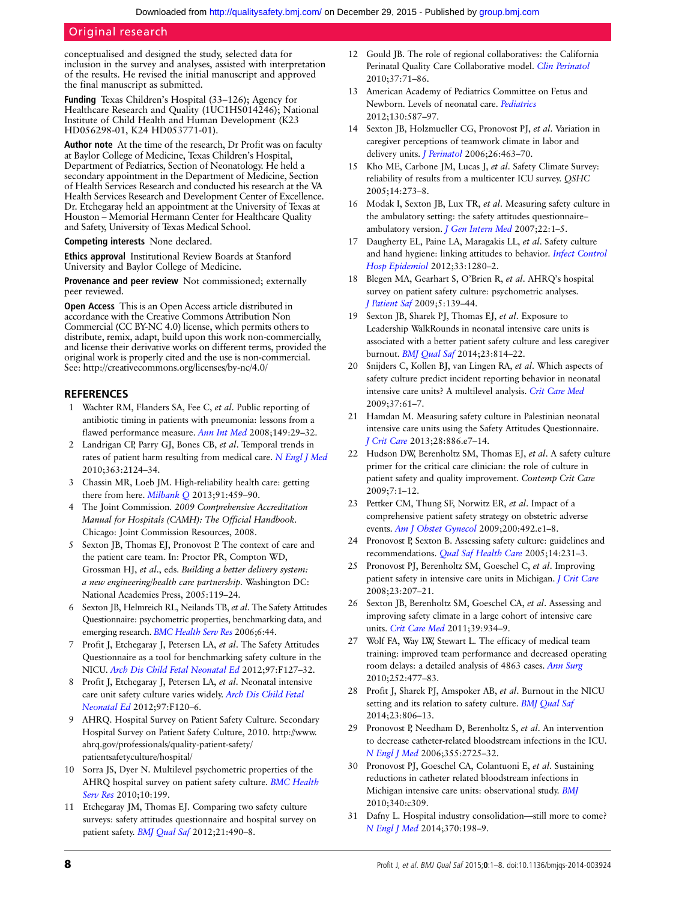#### <span id="page-8-0"></span>Original research

conceptualised and designed the study, selected data for inclusion in the survey and analyses, assisted with interpretation of the results. He revised the initial manuscript and approved the final manuscript as submitted.

Funding Texas Children's Hospital (33–126); Agency for Healthcare Research and Quality (1UC1HS014246); National Institute of Child Health and Human Development (K23 HD056298-01, K24 HD053771-01).

Author note At the time of the research, Dr Profit was on faculty at Baylor College of Medicine, Texas Children's Hospital, Department of Pediatrics, Section of Neonatology. He held a secondary appointment in the Department of Medicine, Section of Health Services Research and conducted his research at the VA Health Services Research and Development Center of Excellence. Dr. Etchegaray held an appointment at the University of Texas at Houston – Memorial Hermann Center for Healthcare Quality and Safety, University of Texas Medical School.

Competing interests None declared.

Ethics approval Institutional Review Boards at Stanford University and Baylor College of Medicine.

Provenance and peer review Not commissioned; externally peer reviewed.

Open Access This is an Open Access article distributed in accordance with the Creative Commons Attribution Non Commercial (CC BY-NC 4.0) license, which permits others to distribute, remix, adapt, build upon this work non-commercially, and license their derivative works on different terms, provided the original work is properly cited and the use is non-commercial. See:<http://creativecommons.org/licenses/by-nc/4.0/>

#### **REFERENCES**

- 1 Wachter RM, Flanders SA, Fee C, et al. Public reporting of antibiotic timing in patients with pneumonia: lessons from a flawed performance measure. [Ann Int Med](http://dx.doi.org/10.7326/0003-4819-149-1-200807010-00007) 2008;149:29–32.
- 2 Landrigan CP, Parry GJ, Bones CB, et al. Temporal trends in rates of patient harm resulting from medical care. [N Engl J Med](http://dx.doi.org/10.1056/NEJMsa1004404) 2010;363:2124–34.
- 3 Chassin MR, Loeb JM. High-reliability health care: getting there from here. *[Milbank Q](http://dx.doi.org/10.1111/1468-0009.12023)* 2013;91:459-90.
- 4 The Joint Commission. 2009 Comprehensive Accreditation Manual for Hospitals (CAMH): The Official Handbook. Chicago: Joint Commission Resources, 2008.
- 5 Sexton JB, Thomas EJ, Pronovost P. The context of care and the patient care team. In: Proctor PR, Compton WD, Grossman HJ, et al., eds. Building a better delivery system: a new engineering/health care partnership. Washington DC: National Academies Press, 2005:119–24.
- 6 Sexton JB, Helmreich RL, Neilands TB, et al. The Safety Attitudes Questionnaire: psychometric properties, benchmarking data, and emerging research. [BMC Health Serv Res](http://dx.doi.org/10.1186/1472-6963-6-44) 2006;6:44.
- 7 Profit J, Etchegaray J, Petersen LA, et al. The Safety Attitudes Questionnaire as a tool for benchmarking safety culture in the NICU. [Arch Dis Child Fetal Neonatal Ed](http://dx.doi.org/10.1136/archdischild-2011-300612) 2012;97:F127–32.
- 8 Profit J, Etchegaray J, Petersen LA, et al. Neonatal intensive care unit safety culture varies widely. [Arch Dis Child Fetal](http://dx.doi.org/10.1136/archdischild-2011-300635) [Neonatal Ed](http://dx.doi.org/10.1136/archdischild-2011-300635) 2012;97:F120–6.
- 9 AHRQ. Hospital Survey on Patient Safety Culture. Secondary Hospital Survey on Patient Safety Culture, 2010. [http://www.](http://www.ahrq.gov/professionals/quality-patient-safety/patientsafetyculture/hospital/) [ahrq.gov/professionals/quality-patient-safety/](http://www.ahrq.gov/professionals/quality-patient-safety/patientsafetyculture/hospital/) [patientsafetyculture/hospital/](http://www.ahrq.gov/professionals/quality-patient-safety/patientsafetyculture/hospital/)
- 10 Sorra JS, Dyer N. Multilevel psychometric properties of the AHRQ hospital survey on patient safety culture. [BMC Health](http://dx.doi.org/10.1186/1472-6963-10-199) [Serv Res](http://dx.doi.org/10.1186/1472-6963-10-199) 2010;10:199.
- 11 Etchegaray JM, Thomas EJ. Comparing two safety culture surveys: safety attitudes questionnaire and hospital survey on patient safety. [BMJ Qual Saf](http://dx.doi.org/10.1136/bmjqs-2011-000449) 2012;21:490-8.
- 12 Gould JB. The role of regional collaboratives: the California Perinatal Quality Care Collaborative model. [Clin Perinatol](http://dx.doi.org/10.1016/j.clp.2010.01.004) 2010;37:71–86.
- 13 American Academy of Pediatrics Committee on Fetus and Newborn. Levels of neonatal care. [Pediatrics](http://dx.doi.org/10.1542/peds.2012-1999) 2012;130:587–97.
- 14 Sexton JB, Holzmueller CG, Pronovost PJ, et al. Variation in caregiver perceptions of teamwork climate in labor and delivery units. [J Perinatol](http://dx.doi.org/10.1038/sj.jp.7211556) 2006;26:463-70.
- 15 Kho ME, Carbone JM, Lucas J, et al. Safety Climate Survey: reliability of results from a multicenter ICU survey. QSHC 2005;14:273–8.
- 16 Modak I, Sexton JB, Lux TR, et al. Measuring safety culture in the ambulatory setting: the safety attitudes questionnaire– ambulatory version. [J Gen Intern Med](http://dx.doi.org/10.1007/s11606-007-0114-7) 2007;22:1-5.
- 17 Daugherty EL, Paine LA, Maragakis LL, et al. Safety culture and hand hygiene: linking attitudes to behavior. [Infect Control](http://dx.doi.org/10.1086/668432) [Hosp Epidemiol](http://dx.doi.org/10.1086/668432) 2012;33:1280–2.
- 18 Blegen MA, Gearhart S, O'Brien R, et al. AHRQ's hospital survey on patient safety culture: psychometric analyses. [J Patient Saf](http://dx.doi.org/10.1097/PTS.0b013e3181b53f6e) 2009;5:139–44.
- 19 Sexton JB, Sharek PJ, Thomas EJ, et al. Exposure to Leadership WalkRounds in neonatal intensive care units is associated with a better patient safety culture and less caregiver burnout. [BMJ Qual Saf](http://dx.doi.org/10.1136/bmjqs-2013-002042) 2014;23:814–22.
- 20 Snijders C, Kollen BJ, van Lingen RA, et al. Which aspects of safety culture predict incident reporting behavior in neonatal intensive care units? A multilevel analysis. [Crit Care Med](http://dx.doi.org/10.1097/CCM.0b013e31819300e4) 2009;37:61–7.
- 21 Hamdan M. Measuring safety culture in Palestinian neonatal intensive care units using the Safety Attitudes Questionnaire. [J Crit Care](http://dx.doi.org/10.1016/j.jcrc.2013.06.002) 2013;28:886.e7–14.
- 22 Hudson DW, Berenholtz SM, Thomas EJ, et al. A safety culture primer for the critical care clinician: the role of culture in patient safety and quality improvement. Contemp Crit Care 2009;7:1–12.
- 23 Pettker CM, Thung SF, Norwitz ER, et al. Impact of a comprehensive patient safety strategy on obstetric adverse events. [Am J Obstet Gynecol](http://dx.doi.org/10.1016/j.ajog.2009.01.022) 2009;200:492.e1-8.
- 24 Pronovost P, Sexton B. Assessing safety culture: guidelines and recommendations. *[Qual Saf Health Care](http://dx.doi.org/10.1136/qshc.2005.015180)* 2005;14:231-3.
- 25 Pronovost PJ, Berenholtz SM, Goeschel C, et al. Improving patient safety in intensive care units in Michigan. [J Crit Care](http://dx.doi.org/10.1016/j.jcrc.2007.09.002) 2008;23:207–21.
- 26 Sexton JB, Berenholtz SM, Goeschel CA, et al. Assessing and improving safety climate in a large cohort of intensive care units. [Crit Care Med](http://dx.doi.org/10.1097/CCM.0b013e318206d26c) 2011;39:934–9.
- 27 Wolf FA, Way LW, Stewart L. The efficacy of medical team training: improved team performance and decreased operating room delays: a detailed analysis of 4863 cases. [Ann Surg](http://dx.doi.org/10.1097/SLA.0b013e3181f1c091) 2010;252:477–83.
- 28 Profit J, Sharek PJ, Amspoker AB, et al. Burnout in the NICU setting and its relation to safety culture. [BMJ Qual Saf](http://dx.doi.org/10.1136/bmjqs-2014-002831) 2014;23:806–13.
- 29 Pronovost P, Needham D, Berenholtz S, et al. An intervention to decrease catheter-related bloodstream infections in the ICU. [N Engl J Med](http://dx.doi.org/10.1056/NEJMoa061115) 2006;355:2725–32.
- 30 Pronovost PJ, Goeschel CA, Colantuoni E, et al. Sustaining reductions in catheter related bloodstream infections in Michigan intensive care units: observational study. [BMJ](http://dx.doi.org/10.1136/bmj.c309) 2010;340:c309.
- 31 Dafny L. Hospital industry consolidation—still more to come? [N Engl J Med](http://dx.doi.org/10.1056/NEJMp1313948) 2014;370:198–9.